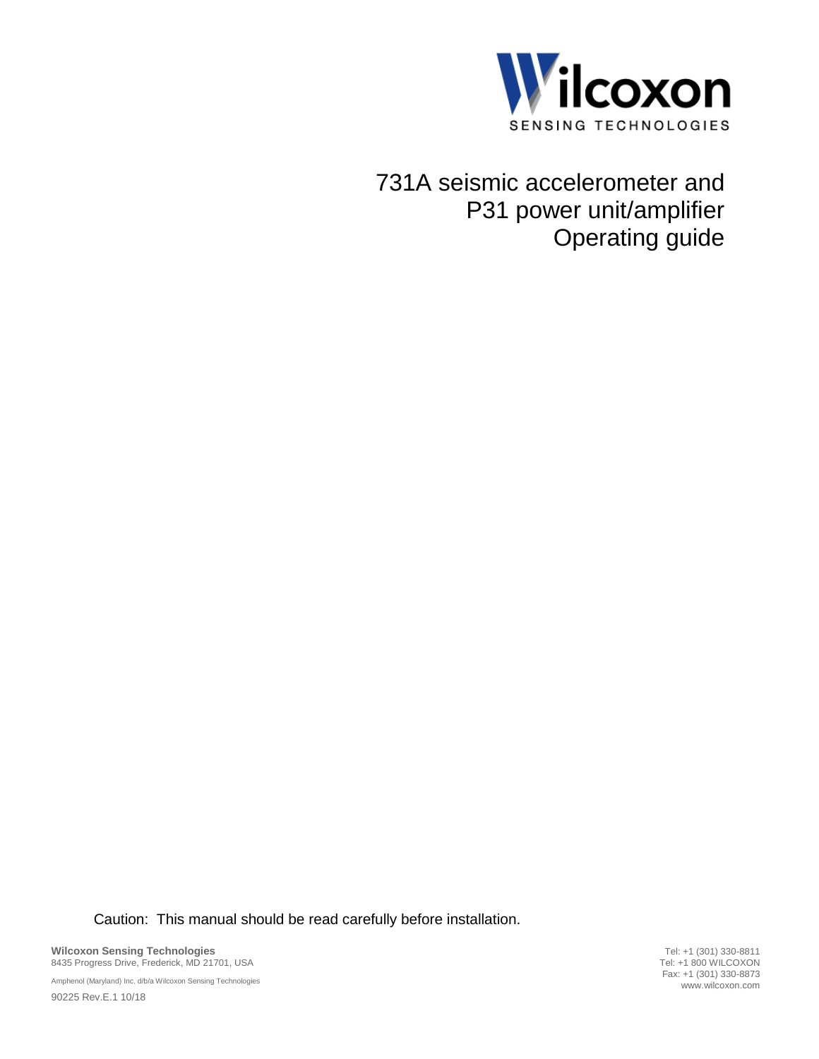

731A seismic accelerometer and P31 power unit/amplifier Operating guide

Caution: This manual should be read carefully before installation.

**Wilcoxon Sensing Technologies** 8435 Progress Drive, Frederick, MD 21701, USA

Amphenol (Maryland) Inc. d/b/a Wilcoxon Sensing Technologies 90225 Rev.E.1 10/18

Tel: +1 (301) 330-8811 Tel: +1 800 WILCOXON Fax: +1 (301) 330-8873 www.wilcoxon.com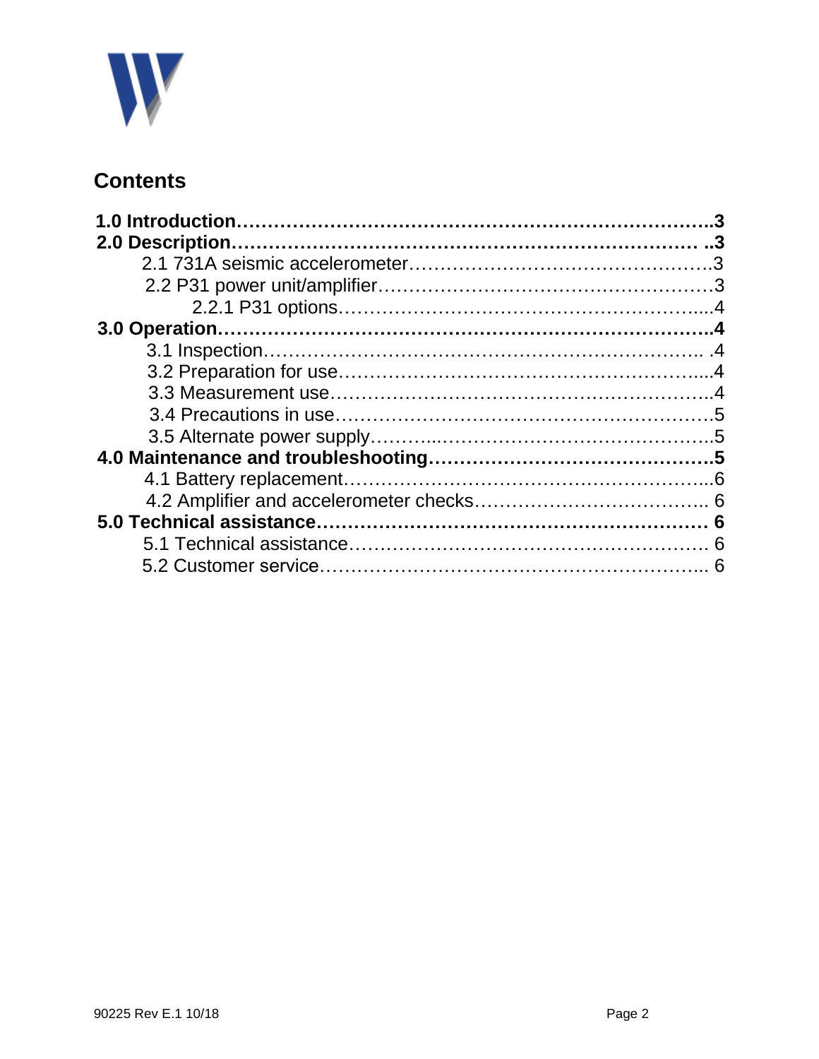

# **Contents**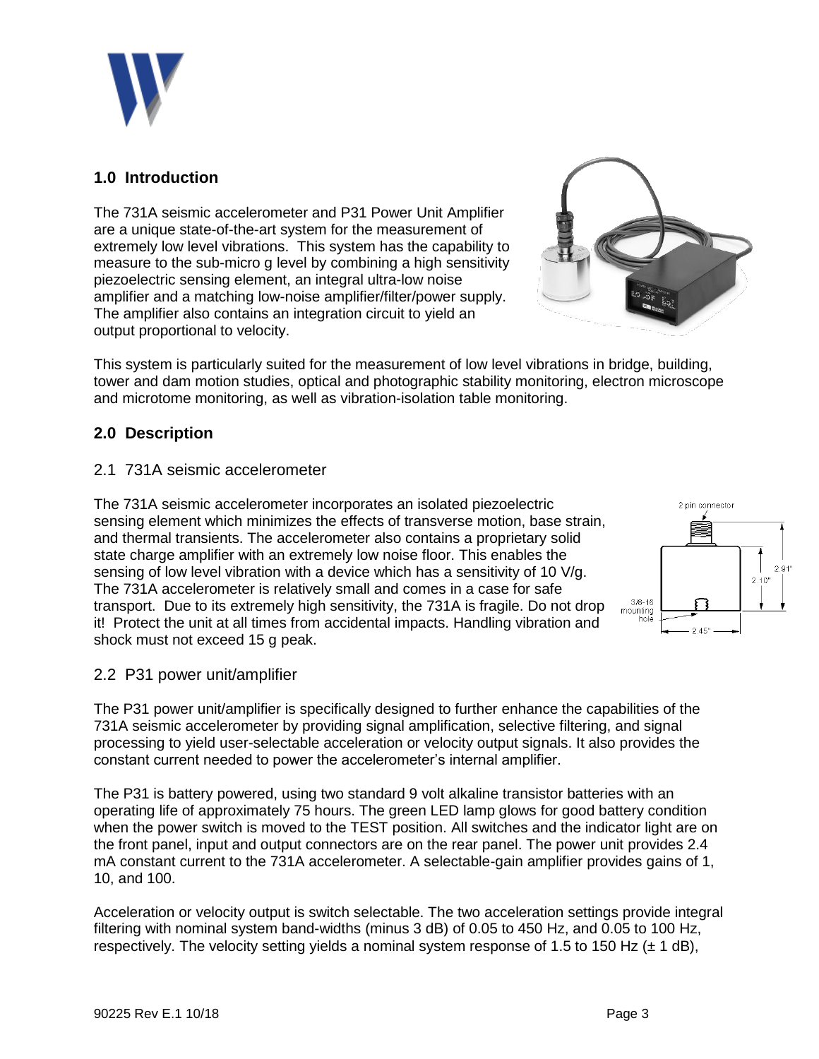

# **1.0 Introduction**

The 731A seismic accelerometer and P31 Power Unit Amplifier are a unique state-of-the-art system for the measurement of extremely low level vibrations. This system has the capability to measure to the sub-micro g level by combining a high sensitivity piezoelectric sensing element, an integral ultra-low noise amplifier and a matching low-noise amplifier/filter/power supply. The amplifier also contains an integration circuit to yield an output proportional to velocity.



This system is particularly suited for the measurement of low level vibrations in bridge, building, tower and dam motion studies, optical and photographic stability monitoring, electron microscope and microtome monitoring, as well as vibration-isolation table monitoring.

# **2.0 Description**

#### 2.1 731A seismic accelerometer

The 731A seismic accelerometer incorporates an isolated piezoelectric sensing element which minimizes the effects of transverse motion, base strain, and thermal transients. The accelerometer also contains a proprietary solid state charge amplifier with an extremely low noise floor. This enables the sensing of low level vibration with a device which has a sensitivity of 10 V/g. The 731A accelerometer is relatively small and comes in a case for safe transport. Due to its extremely high sensitivity, the 731A is fragile. Do not drop it! Protect the unit at all times from accidental impacts. Handling vibration and shock must not exceed 15 g peak.



### 2.2 P31 power unit/amplifier

The P31 power unit/amplifier is specifically designed to further enhance the capabilities of the 731A seismic accelerometer by providing signal amplification, selective filtering, and signal processing to yield user-selectable acceleration or velocity output signals. It also provides the constant current needed to power the accelerometer's internal amplifier.

The P31 is battery powered, using two standard 9 volt alkaline transistor batteries with an operating life of approximately 75 hours. The green LED lamp glows for good battery condition when the power switch is moved to the TEST position. All switches and the indicator light are on the front panel, input and output connectors are on the rear panel. The power unit provides 2.4 mA constant current to the 731A accelerometer. A selectable-gain amplifier provides gains of 1, 10, and 100.

Acceleration or velocity output is switch selectable. The two acceleration settings provide integral filtering with nominal system band-widths (minus 3 dB) of 0.05 to 450 Hz, and 0.05 to 100 Hz, respectively. The velocity setting yields a nominal system response of 1.5 to 150 Hz  $(\pm 1 \text{ dB})$ ,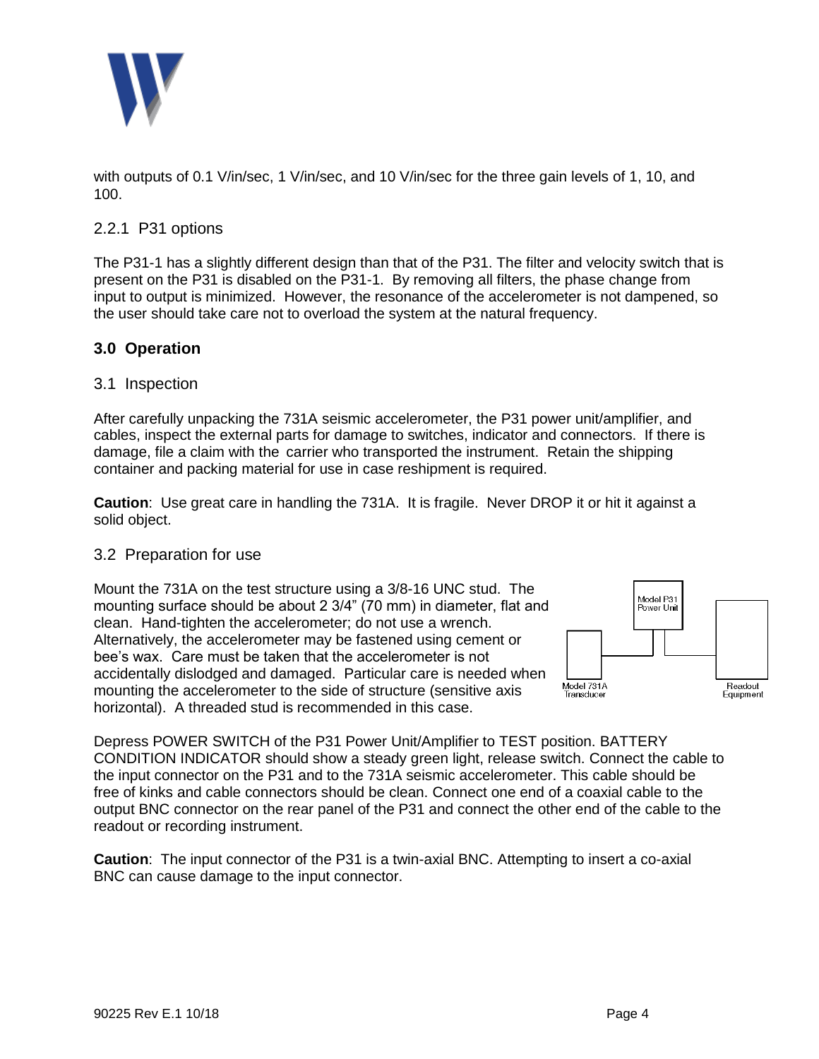

with outputs of 0.1 V/in/sec, 1 V/in/sec, and 10 V/in/sec for the three gain levels of 1, 10, and 100.

## 2.2.1 P31 options

The P31-1 has a slightly different design than that of the P31. The filter and velocity switch that is present on the P31 is disabled on the P31-1. By removing all filters, the phase change from input to output is minimized. However, the resonance of the accelerometer is not dampened, so the user should take care not to overload the system at the natural frequency.

## **3.0 Operation**

#### 3.1 Inspection

After carefully unpacking the 731A seismic accelerometer, the P31 power unit/amplifier, and cables, inspect the external parts for damage to switches, indicator and connectors. If there is damage, file a claim with the carrier who transported the instrument. Retain the shipping container and packing material for use in case reshipment is required.

**Caution**: Use great care in handling the 731A. It is fragile. Never DROP it or hit it against a solid object.

#### 3.2 Preparation for use

Mount the 731A on the test structure using a 3/8-16 UNC stud. The mounting surface should be about 2 3/4" (70 mm) in diameter, flat and clean. Hand-tighten the accelerometer; do not use a wrench. Alternatively, the accelerometer may be fastened using cement or bee's wax. Care must be taken that the accelerometer is not accidentally dislodged and damaged. Particular care is needed when mounting the accelerometer to the side of structure (sensitive axis horizontal). A threaded stud is recommended in this case.



Depress POWER SWITCH of the P31 Power Unit/Amplifier to TEST position. BATTERY CONDITION INDICATOR should show a steady green light, release switch. Connect the cable to the input connector on the P31 and to the 731A seismic accelerometer. This cable should be free of kinks and cable connectors should be clean. Connect one end of a coaxial cable to the output BNC connector on the rear panel of the P31 and connect the other end of the cable to the readout or recording instrument.

**Caution**: The input connector of the P31 is a twin-axial BNC. Attempting to insert a co-axial BNC can cause damage to the input connector.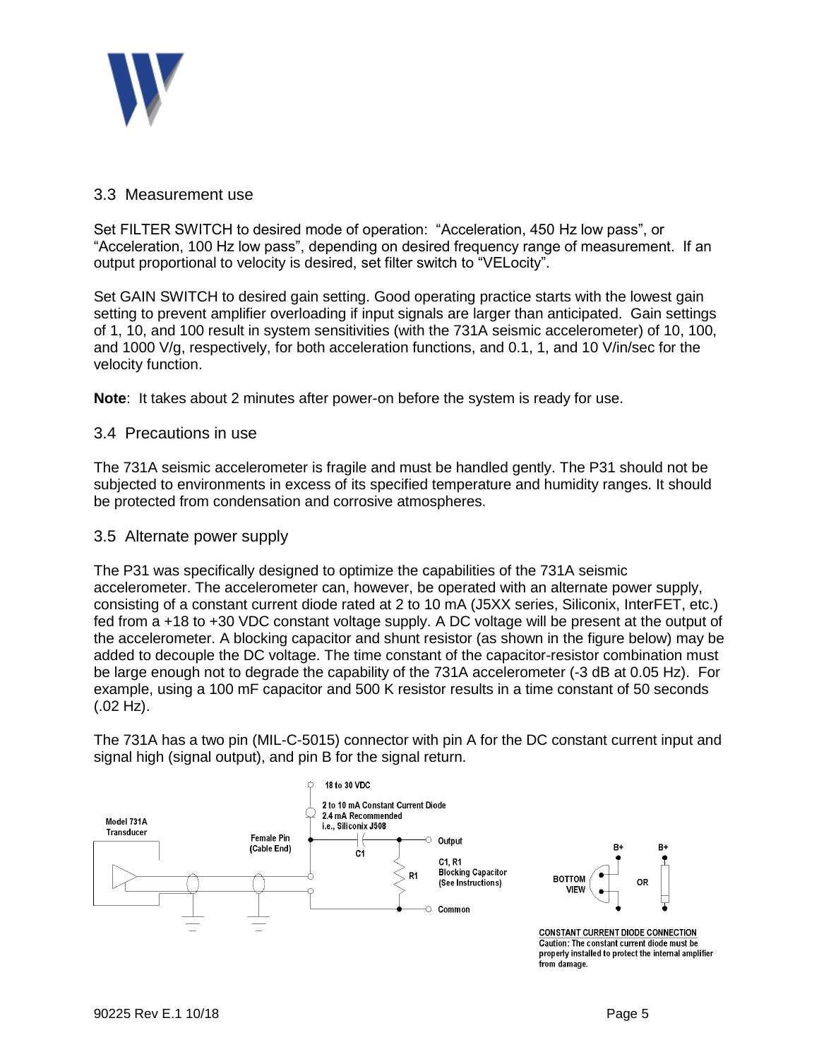

### 3.3 Measurement use

Set FILTER SWITCH to desired mode of operation: "Acceleration, 450 Hz low pass", or "Acceleration, 100 Hz low pass", depending on desired frequency range of measurement. If an output proportional to velocity is desired, set filter switch to "VELocity".

Set GAIN SWITCH to desired gain setting. Good operating practice starts with the lowest gain setting to prevent amplifier overloading if input signals are larger than anticipated. Gain settings of 1, 10, and 100 result in system sensitivities (with the 731A seismic accelerometer) of 10, 100, and 1000 V/g, respectively, for both acceleration functions, and 0.1, 1, and 10 V/in/sec for the velocity function.

**Note**: It takes about 2 minutes after power-on before the system is ready for use.

### 3.4 Precautions in use

The 731A seismic accelerometer is fragile and must be handled gently. The P31 should not be subjected to environments in excess of its specified temperature and humidity ranges. It should be protected from condensation and corrosive atmospheres.

#### 3.5 Alternate power supply

The P31 was specifically designed to optimize the capabilities of the 731A seismic accelerometer. The accelerometer can, however, be operated with an alternate power supply, consisting of a constant current diode rated at 2 to 10 mA (J5XX series, Siliconix, InterFET, etc.) fed from a +18 to +30 VDC constant voltage supply. A DC voltage will be present at the output of the accelerometer. A blocking capacitor and shunt resistor (as shown in the figure below) may be added to decouple the DC voltage. The time constant of the capacitor-resistor combination must be large enough not to degrade the capability of the 731A accelerometer (-3 dB at 0.05 Hz). For example, using a 100 mF capacitor and 500 K resistor results in a time constant of 50 seconds  $(.02 \text{ Hz})$ .

The 731A has a two pin (MIL-C-5015) connector with pin A for the DC constant current input and signal high (signal output), and pin B for the signal return.



from damage.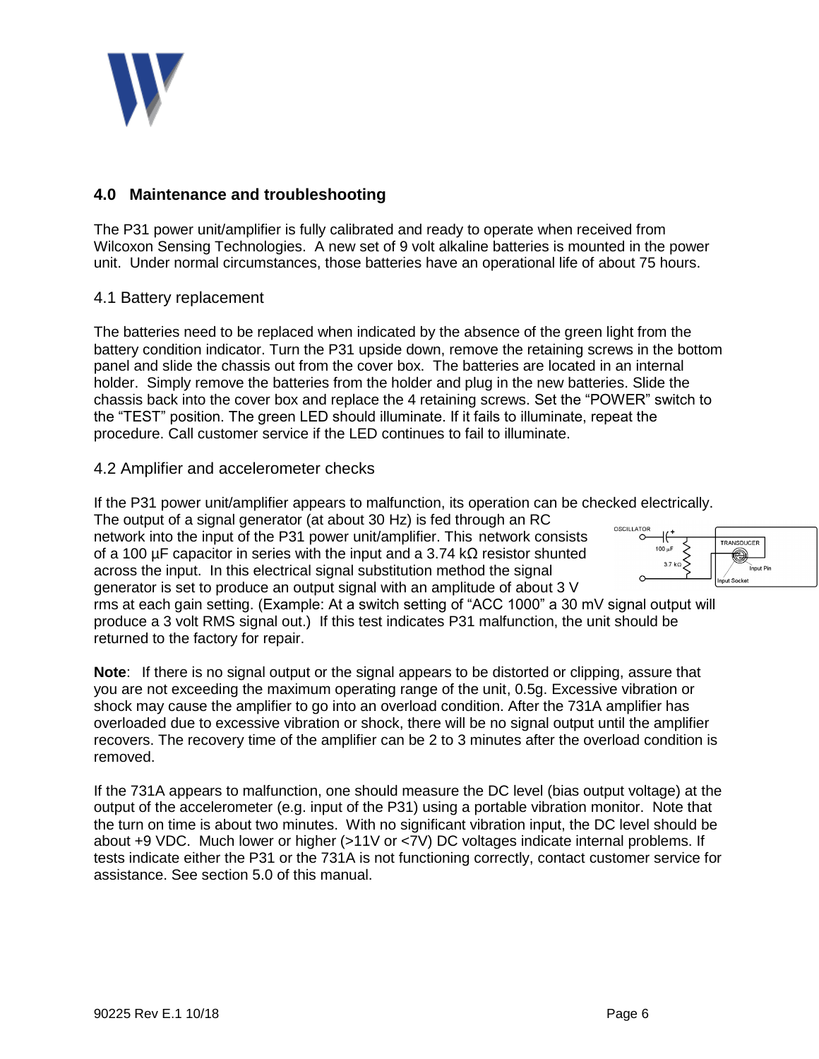

# **4.0 Maintenance and troubleshooting**

The P31 power unit/amplifier is fully calibrated and ready to operate when received from Wilcoxon Sensing Technologies. A new set of 9 volt alkaline batteries is mounted in the power unit. Under normal circumstances, those batteries have an operational life of about 75 hours.

## 4.1 Battery replacement

The batteries need to be replaced when indicated by the absence of the green light from the battery condition indicator. Turn the P31 upside down, remove the retaining screws in the bottom panel and slide the chassis out from the cover box. The batteries are located in an internal holder. Simply remove the batteries from the holder and plug in the new batteries. Slide the chassis back into the cover box and replace the 4 retaining screws. Set the "POWER" switch to the "TEST" position. The green LED should illuminate. If it fails to illuminate, repeat the procedure. Call customer service if the LED continues to fail to illuminate.

## 4.2 Amplifier and accelerometer checks

If the P31 power unit/amplifier appears to malfunction, its operation can be checked electrically.

The output of a signal generator (at about 30 Hz) is fed through an RC network into the input of the P31 power unit/amplifier. This network consists of a 100 µF capacitor in series with the input and a 3.74 kΩ resistor shunted across the input. In this electrical signal substitution method the signal generator is set to produce an output signal with an amplitude of about 3 V



rms at each gain setting. (Example: At a switch setting of "ACC 1000" a 30 mV signal output will produce a 3 volt RMS signal out.) If this test indicates P31 malfunction, the unit should be returned to the factory for repair.

**Note**: If there is no signal output or the signal appears to be distorted or clipping, assure that you are not exceeding the maximum operating range of the unit, 0.5g. Excessive vibration or shock may cause the amplifier to go into an overload condition. After the 731A amplifier has overloaded due to excessive vibration or shock, there will be no signal output until the amplifier recovers. The recovery time of the amplifier can be 2 to 3 minutes after the overload condition is removed.

If the 731A appears to malfunction, one should measure the DC level (bias output voltage) at the output of the accelerometer (e.g. input of the P31) using a portable vibration monitor. Note that the turn on time is about two minutes. With no significant vibration input, the DC level should be about +9 VDC. Much lower or higher (>11V or <7V) DC voltages indicate internal problems. If tests indicate either the P31 or the 731A is not functioning correctly, contact customer service for assistance. See section 5.0 of this manual.